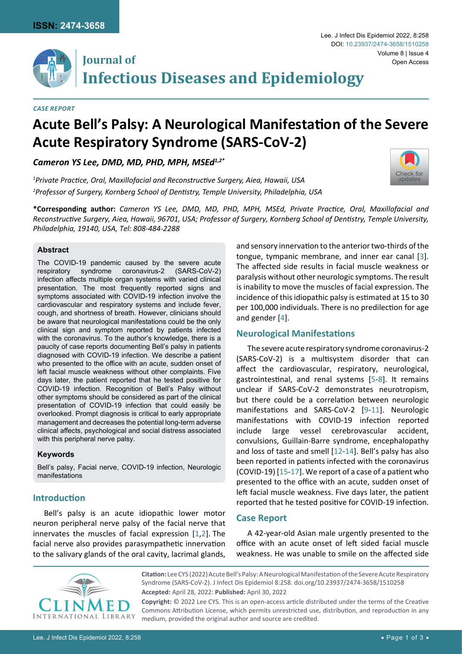

*Case Report*

# **Acute Bell's Palsy: A Neurological Manifestation of the Severe Acute Respiratory Syndrome (SARS-CoV-2)**

*Cameron YS Lee, DMD, MD, PHD, MPH, MSEd1,2\**

*1 Private Practice, Oral, Maxillofacial and Reconstructive Surgery, Aiea, Hawaii, USA 2 Professor of Surgery, Kornberg School of Dentistry, Temple University, Philadelphia, USA*

**\*Corresponding author:** *Cameron YS Lee, DMD, MD, PHD, MPH, MSEd, Private Practice, Oral, Maxillofacial and Reconstructive Surgery, Aiea, Hawaii, 96701, USA; Professor of Surgery, Kornberg School of Dentistry, Temple University, Philadelphia, 19140, USA, Tel: 808-484-2288*

#### **Abstract**

The COVID-19 pandemic caused by the severe acute respiratory syndrome coronavirus-2 (SARS-CoV-2) infection affects multiple organ systems with varied clinical presentation. The most frequently reported signs and symptoms associated with COVID-19 infection involve the cardiovascular and respiratory systems and include fever, cough, and shortness of breath. However, clinicians should be aware that neurological manifestations could be the only clinical sign and symptom reported by patients infected with the coronavirus. To the author's knowledge, there is a paucity of case reports documenting Bell's palsy in patients diagnosed with COVID-19 infection. We describe a patient who presented to the office with an acute, sudden onset of left facial muscle weakness without other complaints. Five days later, the patient reported that he tested positive for COVID-19 infection. Recognition of Bell's Palsy without other symptoms should be considered as part of the clinical presentation of COVID-19 infection that could easily be overlooked. Prompt diagnosis is critical to early appropriate management and decreases the potential long-term adverse clinical affects, psychological and social distress associated with this peripheral nerve palsy.

#### **Keywords**

Bell's palsy, Facial nerve, COVID-19 infection, Neurologic manifestations

### **Introduction**

Bell's palsy is an acute idiopathic lower motor neuron peripheral nerve palsy of the facial nerve that innervates the muscles of facial expression [\[1,](#page-1-6)[2](#page-1-7)]. The facial nerve also provides parasympathetic innervation to the salivary glands of the oral cavity, lacrimal glands,

and sensory innervation to the anterior two-thirds of the tongue, tympanic membrane, and inner ear canal [\[3\]](#page-1-0). The affected side results in facial muscle weakness or paralysis without other neurologic symptoms. The result is inability to move the muscles of facial expression. The incidence of this idiopathic palsy is estimated at 15 to 30 per 100,000 individuals. There is no predilection for age and gender [\[4\]](#page-1-1).

#### **Neurological Manifestations**

The severe acute respiratory syndrome coronavirus-2 (SARS-CoV-2) is a multisystem disorder that can affect the cardiovascular, respiratory, neurological, gastrointestinal, and renal systems [\[5](#page-1-2)[-8\]](#page-1-3). It remains unclear if SARS-CoV-2 demonstrates neurotropism, but there could be a correlation between neurologic manifestations and SARS-CoV-2 [\[9](#page-1-4)[-11](#page-1-5)]. Neurologic manifestations with COVID-19 infection reported include large vessel cerebrovascular accident, convulsions, Guillain-Barre syndrome, encephalopathy and loss of taste and smell [\[12](#page-2-0)-[14\]](#page-2-1). Bell's palsy has also been reported in patients infected with the coronavirus (COVID-19) [\[15](#page-2-2)-[17\]](#page-2-3). We report of a case of a patient who presented to the office with an acute, sudden onset of left facial muscle weakness. Five days later, the patient reported that he tested positive for COVID-19 infection.

#### **Case Report**

A 42-year-old Asian male urgently presented to the office with an acute onset of left sided facial muscle weakness. He was unable to smile on the affected side



**Citation:** Lee CYS (2022) Acute Bell's Palsy: A Neurological Manifestation of the Severe Acute Respiratory Syndrome (SARS-CoV-2). J Infect Dis Epidemiol 8:258. [doi.org/10.23937/2474-3658/1510258](https://doi.org/10.23937/2474-3658/1510258) **Accepted:** April 28, 2022: **Published:** April 30, 2022

**Copyright:** © 2022 Lee CYS. This is an open-access article distributed under the terms of the Creative Commons Attribution License, which permits unrestricted use, distribution, and reproduction in any medium, provided the original author and source are credited.



Volume 8 | Issue 4

Open Access

Lee. J Infect Dis Epidemiol 2022, 8:258

DOI: [10.23937/2474-3658/1510258](http://crossmark.crossref.org/dialog/?doi=10.23937/2474-3658/1510258&domain=pdf)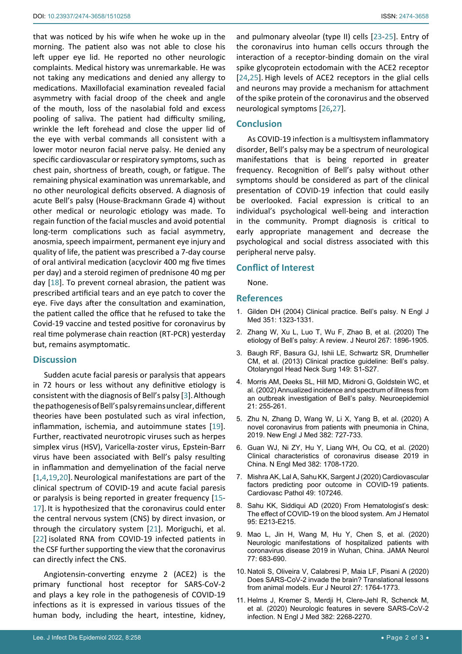that was noticed by his wife when he woke up in the morning. The patient also was not able to close his left upper eye lid. He reported no other neurologic complaints. Medical history was unremarkable. He was not taking any medications and denied any allergy to medications. Maxillofacial examination revealed facial asymmetry with facial droop of the cheek and angle of the mouth, loss of the nasolabial fold and excess pooling of saliva. The patient had difficulty smiling, wrinkle the left forehead and close the upper lid of the eye with verbal commands all consistent with a lower motor neuron facial nerve palsy. He denied any specific cardiovascular or respiratory symptoms, such as chest pain, shortness of breath, cough, or fatigue. The remaining physical examination was unremarkable, and no other neurological deficits observed. A diagnosis of acute Bell's palsy (House-Brackmann Grade 4) without other medical or neurologic etiology was made. To regain function of the facial muscles and avoid potential long-term complications such as facial asymmetry, anosmia, speech impairment, permanent eye injury and quality of life, the patient was prescribed a 7-day course of oral antiviral medication (acyclovir 400 mg five times per day) and a steroid regimen of prednisone 40 mg per day [\[18](#page-2-9)]. To prevent corneal abrasion, the patient was prescribed artificial tears and an eye patch to cover the eye. Five days after the consultation and examination, the patient called the office that he refused to take the Covid-19 vaccine and tested positive for coronavirus by real time polymerase chain reaction (RT-PCR) yesterday but, remains asymptomatic.

## **Discussion**

Sudden acute facial paresis or paralysis that appears in 72 hours or less without any definitive etiology is consistent with the diagnosis of Bell's palsy [[3](#page-1-0)].Although the pathogenesis of Bell's palsy remains unclear, different theories have been postulated such as viral infection, inflammation, ischemia, and autoimmune states [\[19](#page-2-10)]. Further, reactivated neurotropic viruses such as herpes simplex virus (HSV), Varicella-zoster virus, Epstein-Barr virus have been associated with Bell's palsy resulting in inflammation and demyelination of the facial nerve [[1](#page-1-6)[,4,](#page-1-1)[19,](#page-2-10)[20](#page-2-11)]. Neurological manifestations are part of the clinical spectrum of COVID-19 and acute facial paresis or paralysis is being reported in greater frequency [\[15](#page-2-2)- [17\]](#page-2-3). It is hypothesized that the coronavirus could enter the central nervous system (CNS) by direct invasion, or through the circulatory system [[21\]](#page-2-12). Moriguchi, et al. [[22](#page-2-13)] isolated RNA from COVID-19 infected patients in the CSF further supporting the view that the coronavirus can directly infect the CNS.

Angiotensin-converting enzyme 2 (ACE2) is the primary functional host receptor for SARS-CoV-2 and plays a key role in the pathogenesis of COVID-19 infections as it is expressed in various tissues of the human body, including the heart, intestine, kidney,

and pulmonary alveolar (type II) cells [\[23](#page-2-4)-[25\]](#page-2-5). Entry of the coronavirus into human cells occurs through the interaction of a receptor-binding domain on the viral spike glycoprotein ectodomain with the ACE2 receptor [\[24](#page-2-6)[,25](#page-2-5)]. High levels of ACE2 receptors in the glial cells and neurons may provide a mechanism for attachment of the spike protein of the coronavirus and the observed neurological symptoms [[26,](#page-2-7)[27\]](#page-2-8).

#### **Conclusion**

As COVID-19 infection is a multisystem inflammatory disorder, Bell's palsy may be a spectrum of neurological manifestations that is being reported in greater frequency. Recognition of Bell's palsy without other symptoms should be considered as part of the clinical presentation of COVID-19 infection that could easily be overlooked. Facial expression is critical to an individual's psychological well-being and interaction in the community. Prompt diagnosis is critical to early appropriate management and decrease the psychological and social distress associated with this peripheral nerve palsy.

#### **Conflict of Interest**

None.

#### **References**

- <span id="page-1-6"></span>1. [Gilden DH \(2004\) Clinical practice. Bell's palsy. N Engl J](https://pubmed.ncbi.nlm.nih.gov/15385659/)  [Med 351: 1323-1331.](https://pubmed.ncbi.nlm.nih.gov/15385659/)
- <span id="page-1-7"></span>2. [Zhang W, Xu L, Luo T, Wu F, Zhao B, et al. \(2020\) The](https://pubmed.ncbi.nlm.nih.gov/30923934/)  [etiology of Bell's palsy: A review. J Neurol 267: 1896-1905.](https://pubmed.ncbi.nlm.nih.gov/30923934/)
- <span id="page-1-0"></span>3. [Baugh RF, Basura GJ, Ishii LE, Schwartz SR, Drumheller](https://pubmed.ncbi.nlm.nih.gov/24189771/)  [CM, et al. \(2013\) Clinical practice guideline: Bell's palsy.](https://pubmed.ncbi.nlm.nih.gov/24189771/)  [Otolaryngol Head Neck Surg 149: S1-S27.](https://pubmed.ncbi.nlm.nih.gov/24189771/)
- <span id="page-1-1"></span>4. [Morris AM, Deeks SL, Hill MD, Midroni G, Goldstein WC, et](https://pubmed.ncbi.nlm.nih.gov/12207155/)  [al. \(2002\) Annualized incidence and spectrum of illness from](https://pubmed.ncbi.nlm.nih.gov/12207155/)  [an outbreak investigation of Bell's palsy. Neuroepidemiol](https://pubmed.ncbi.nlm.nih.gov/12207155/)  [21: 255-261.](https://pubmed.ncbi.nlm.nih.gov/12207155/)
- <span id="page-1-2"></span>5. [Zhu N, Zhang D, Wang W, Li X, Yang B, et al. \(2020\) A](https://pubmed.ncbi.nlm.nih.gov/31978945/)  [novel coronavirus from patients with pneumonia in China,](https://pubmed.ncbi.nlm.nih.gov/31978945/)  [2019. New Engl J Med 382: 727-733.](https://pubmed.ncbi.nlm.nih.gov/31978945/)
- 6. [Guan WJ, Ni ZY, Hu Y, Liang WH, Ou CQ, et al. \(2020\)](https://www.nejm.org/doi/full/10.1056/nejmoa2002032)  [Clinical characteristics of coronavirus disease 2019 in](https://www.nejm.org/doi/full/10.1056/nejmoa2002032)  [China. N Engl Med 382: 1708-1720.](https://www.nejm.org/doi/full/10.1056/nejmoa2002032)
- 7. [Mishra AK, Lal A, Sahu KK, Sargent J \(2020\) Cardiovascular](https://pubmed.ncbi.nlm.nih.gov/32640385/)  [factors predicting poor outcome in COVID-19 patients.](https://pubmed.ncbi.nlm.nih.gov/32640385/)  [Cardiovasc Pathol 49: 107246.](https://pubmed.ncbi.nlm.nih.gov/32640385/)
- <span id="page-1-3"></span>8. [Sahu KK, Siddiqui AD \(2020\) From Hematologist's desk:](https://pubmed.ncbi.nlm.nih.gov/32356307/)  [The effect of COVID-19 on the blood system. Am J Hematol](https://pubmed.ncbi.nlm.nih.gov/32356307/)  [95: E213-E215.](https://pubmed.ncbi.nlm.nih.gov/32356307/)
- <span id="page-1-4"></span>9. [Mao L, Jin H, Wang M, Hu Y, Chen S, et al. \(2020\)](https://pubmed.ncbi.nlm.nih.gov/32275288/)  [Neurologic manifestations of hospitalized patients with](https://pubmed.ncbi.nlm.nih.gov/32275288/)  [coronavirus disease 2019 in Wuhan, China. JAMA Neurol](https://pubmed.ncbi.nlm.nih.gov/32275288/)  [77: 683-690.](https://pubmed.ncbi.nlm.nih.gov/32275288/)
- 10. [Natoli S, Oliveira V, Calabresi P, Maia LF, Pisani A \(2020\)](https://pubmed.ncbi.nlm.nih.gov/32333487/)  [Does SARS-CoV-2 invade the brain? Translational lessons](https://pubmed.ncbi.nlm.nih.gov/32333487/)  [from animal models. Eur J Neurol 27: 1764-1773.](https://pubmed.ncbi.nlm.nih.gov/32333487/)
- <span id="page-1-5"></span>11. [Helms J, Kremer S, Merdji H, Clere-Jehl R, Schenck M,](https://pubmed.ncbi.nlm.nih.gov/32294339/)  [et al. \(2020\) Neurologic features in severe SARS-CoV-2](https://pubmed.ncbi.nlm.nih.gov/32294339/)  [infection. N Engl J Med 382: 2268-2270.](https://pubmed.ncbi.nlm.nih.gov/32294339/)